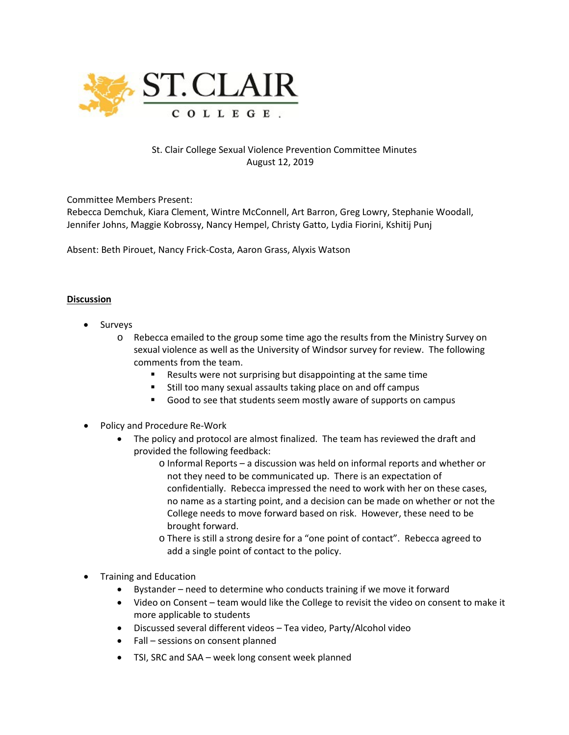

## St. Clair College Sexual Violence Prevention Committee Minutes August 12, 2019

Committee Members Present:

Rebecca Demchuk, Kiara Clement, Wintre McConnell, Art Barron, Greg Lowry, Stephanie Woodall, Jennifer Johns, Maggie Kobrossy, Nancy Hempel, Christy Gatto, Lydia Fiorini, Kshitij Punj

Absent: Beth Pirouet, Nancy Frick-Costa, Aaron Grass, Alyxis Watson

## **Discussion**

- **Surveys** 
	- o Rebecca emailed to the group some time ago the results from the Ministry Survey on sexual violence as well as the University of Windsor survey for review. The following comments from the team.
		- Results were not surprising but disappointing at the same time
		- **Still too many sexual assaults taking place on and off campus**
		- Good to see that students seem mostly aware of supports on campus
- Policy and Procedure Re-Work
	- The policy and protocol are almost finalized. The team has reviewed the draft and provided the following feedback:
		- o Informal Reports a discussion was held on informal reports and whether or not they need to be communicated up. There is an expectation of confidentially. Rebecca impressed the need to work with her on these cases, no name as a starting point, and a decision can be made on whether or not the College needs to move forward based on risk. However, these need to be brought forward.
		- o There is still a strong desire for a "one point of contact". Rebecca agreed to add a single point of contact to the policy.
- Training and Education
	- Bystander need to determine who conducts training if we move it forward
	- Video on Consent team would like the College to revisit the video on consent to make it more applicable to students
	- Discussed several different videos Tea video, Party/Alcohol video
	- Fall sessions on consent planned
	- TSI, SRC and SAA week long consent week planned